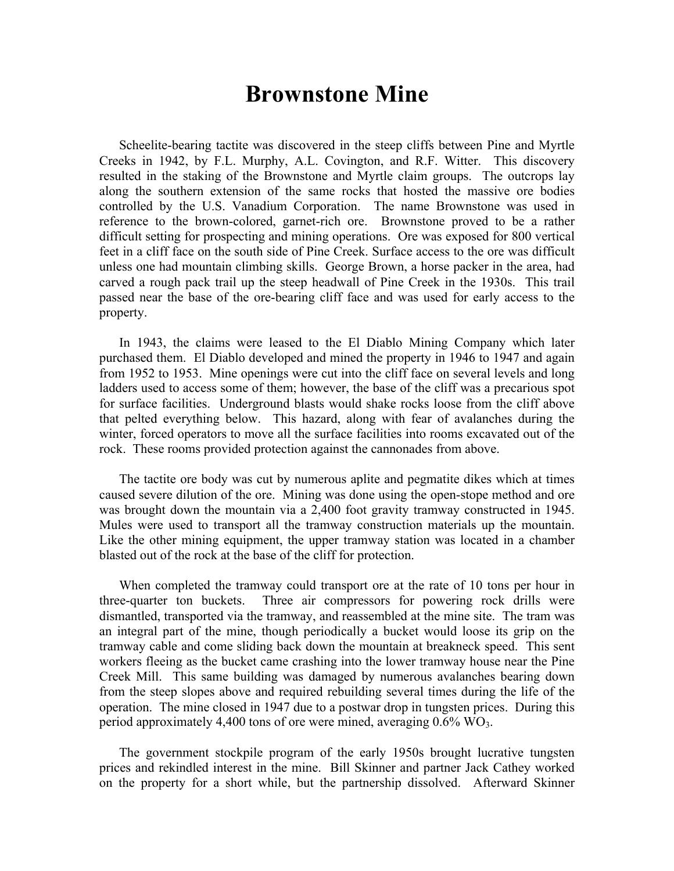## **Brownstone Mine**

Scheelite-bearing tactite was discovered in the steep cliffs between Pine and Myrtle Creeks in 1942, by F.L. Murphy, A.L. Covington, and R.F. Witter. This discovery resulted in the staking of the Brownstone and Myrtle claim groups. The outcrops lay along the southern extension of the same rocks that hosted the massive ore bodies controlled by the U.S. Vanadium Corporation. The name Brownstone was used in reference to the brown-colored, garnet-rich ore. Brownstone proved to be a rather difficult setting for prospecting and mining operations. Ore was exposed for 800 vertical feet in a cliff face on the south side of Pine Creek. Surface access to the ore was difficult unless one had mountain climbing skills. George Brown, a horse packer in the area, had carved a rough pack trail up the steep headwall of Pine Creek in the 1930s. This trail passed near the base of the ore-bearing cliff face and was used for early access to the property.

In 1943, the claims were leased to the El Diablo Mining Company which later purchased them. El Diablo developed and mined the property in 1946 to 1947 and again from 1952 to 1953. Mine openings were cut into the cliff face on several levels and long ladders used to access some of them; however, the base of the cliff was a precarious spot for surface facilities. Underground blasts would shake rocks loose from the cliff above that pelted everything below. This hazard, along with fear of avalanches during the winter, forced operators to move all the surface facilities into rooms excavated out of the rock. These rooms provided protection against the cannonades from above.

The tactite ore body was cut by numerous aplite and pegmatite dikes which at times caused severe dilution of the ore. Mining was done using the open-stope method and ore was brought down the mountain via a 2,400 foot gravity tramway constructed in 1945. Mules were used to transport all the tramway construction materials up the mountain. Like the other mining equipment, the upper tramway station was located in a chamber blasted out of the rock at the base of the cliff for protection.

When completed the tramway could transport ore at the rate of 10 tons per hour in three-quarter ton buckets. Three air compressors for powering rock drills were dismantled, transported via the tramway, and reassembled at the mine site. The tram was an integral part of the mine, though periodically a bucket would loose its grip on the tramway cable and come sliding back down the mountain at breakneck speed. This sent workers fleeing as the bucket came crashing into the lower tramway house near the Pine Creek Mill. This same building was damaged by numerous avalanches bearing down from the steep slopes above and required rebuilding several times during the life of the operation. The mine closed in 1947 due to a postwar drop in tungsten prices. During this period approximately 4,400 tons of ore were mined, averaging  $0.6\%$  WO<sub>3</sub>.

The government stockpile program of the early 1950s brought lucrative tungsten prices and rekindled interest in the mine. Bill Skinner and partner Jack Cathey worked on the property for a short while, but the partnership dissolved. Afterward Skinner